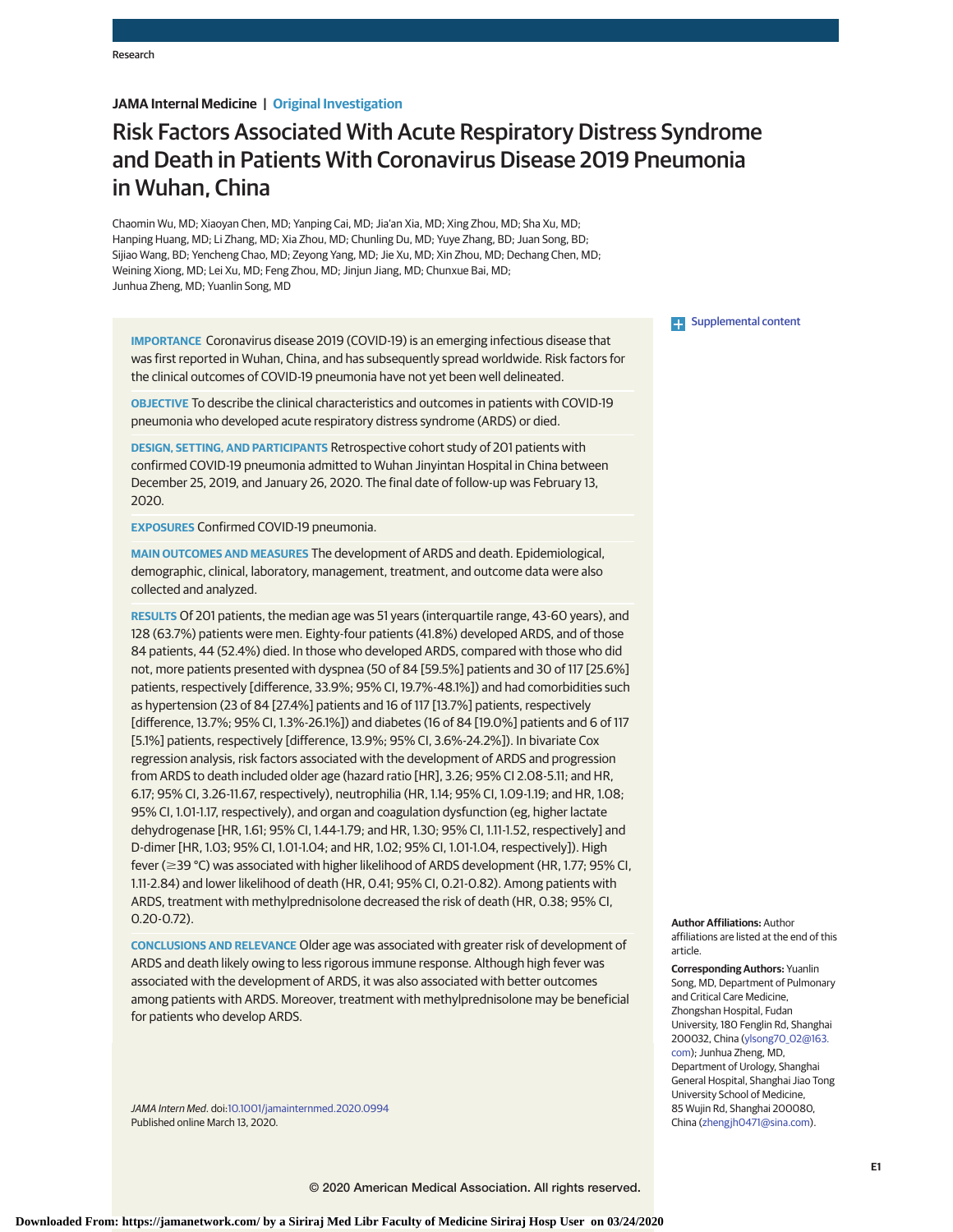## **JAMA Internal Medicine | Original Investigation**

# Risk Factors Associated With Acute Respiratory Distress Syndrome and Death in Patients With Coronavirus Disease 2019 Pneumonia in Wuhan, China

Chaomin Wu, MD; Xiaoyan Chen, MD; Yanping Cai, MD; Jia'an Xia, MD; Xing Zhou, MD; Sha Xu, MD; Hanping Huang, MD; Li Zhang, MD; Xia Zhou, MD; Chunling Du, MD; Yuye Zhang, BD; Juan Song, BD; Sijiao Wang, BD; Yencheng Chao, MD; Zeyong Yang, MD; Jie Xu, MD; Xin Zhou, MD; Dechang Chen, MD; Weining Xiong, MD; Lei Xu, MD; Feng Zhou, MD; Jinjun Jiang, MD; Chunxue Bai, MD; Junhua Zheng, MD; Yuanlin Song, MD

**IMPORTANCE** Coronavirus disease 2019 (COVID-19) is an emerging infectious disease that was first reported in Wuhan, China, and has subsequently spread worldwide. Risk factors for the clinical outcomes of COVID-19 pneumonia have not yet been well delineated.

**OBJECTIVE** To describe the clinical characteristics and outcomes in patients with COVID-19 pneumonia who developed acute respiratory distress syndrome (ARDS) or died.

**DESIGN, SETTING, AND PARTICIPANTS** Retrospective cohort study of 201 patients with confirmed COVID-19 pneumonia admitted to Wuhan Jinyintan Hospital in China between December 25, 2019, and January 26, 2020. The final date of follow-up was February 13, 2020.

**EXPOSURES** Confirmed COVID-19 pneumonia.

**MAIN OUTCOMES AND MEASURES** The development of ARDS and death. Epidemiological, demographic, clinical, laboratory, management, treatment, and outcome data were also collected and analyzed.

**RESULTS** Of 201 patients, the median age was 51 years (interquartile range, 43-60 years), and 128 (63.7%) patients were men. Eighty-four patients (41.8%) developed ARDS, and of those 84 patients, 44 (52.4%) died. In those who developed ARDS, compared with those who did not, more patients presented with dyspnea (50 of 84 [59.5%] patients and 30 of 117 [25.6%] patients, respectively [difference, 33.9%; 95% CI, 19.7%-48.1%]) and had comorbidities such as hypertension (23 of 84 [27.4%] patients and 16 of 117 [13.7%] patients, respectively [difference, 13.7%; 95% CI, 1.3%-26.1%]) and diabetes (16 of 84 [19.0%] patients and 6 of 117 [5.1%] patients, respectively [difference, 13.9%; 95% CI, 3.6%-24.2%]). In bivariate Cox regression analysis, risk factors associated with the development of ARDS and progression from ARDS to death included older age (hazard ratio [HR], 3.26; 95% CI 2.08-5.11; and HR, 6.17; 95% CI, 3.26-11.67, respectively), neutrophilia (HR, 1.14; 95% CI, 1.09-1.19; and HR, 1.08; 95% CI, 1.01-1.17, respectively), and organ and coagulation dysfunction (eg, higher lactate dehydrogenase [HR, 1.61; 95% CI, 1.44-1.79; and HR, 1.30; 95% CI, 1.11-1.52, respectively] and D-dimer [HR, 1.03; 95% CI, 1.01-1.04; and HR, 1.02; 95% CI, 1.01-1.04, respectively]). High fever (≥39 °C) was associated with higher likelihood of ARDS development (HR, 1.77; 95% CI, 1.11-2.84) and lower likelihood of death (HR, 0.41; 95% CI, 0.21-0.82). Among patients with ARDS, treatment with methylprednisolone decreased the risk of death (HR, 0.38; 95% CI, 0.20-0.72).

**CONCLUSIONS AND RELEVANCE** Older age was associated with greater risk of development of ARDS and death likely owing to less rigorous immune response. Although high fever was associated with the development of ARDS, it was also associated with better outcomes among patients with ARDS. Moreover, treatment with methylprednisolone may be beneficial for patients who develop ARDS.

JAMA Intern Med. doi[:10.1001/jamainternmed.2020.0994](https://jamanetwork.com/journals/jama/fullarticle/10.1001/jamainternmed.2020.0994?utm_campaign=articlePDF%26utm_medium=articlePDFlink%26utm_source=articlePDF%26utm_content=jamainternmed.2020.0994) Published online March 13, 2020.

**Examplemental content** 

**Author Affiliations:** Author affiliations are listed at the end of this article.

**Corresponding Authors:** Yuanlin Song, MD, Department of Pulmonary and Critical Care Medicine, Zhongshan Hospital, Fudan University, 180 Fenglin Rd, Shanghai 200032, China [\(ylsong70\\_02@163.](mailto:ylsong70_02@163.com) [com\)](mailto:ylsong70_02@163.com); Junhua Zheng, MD, Department of Urology, Shanghai General Hospital, Shanghai Jiao Tong University School of Medicine, 85 Wujin Rd, Shanghai 200080, China [\(zhengjh0471@sina.com\)](mailto:zhengjh0471@sina.com).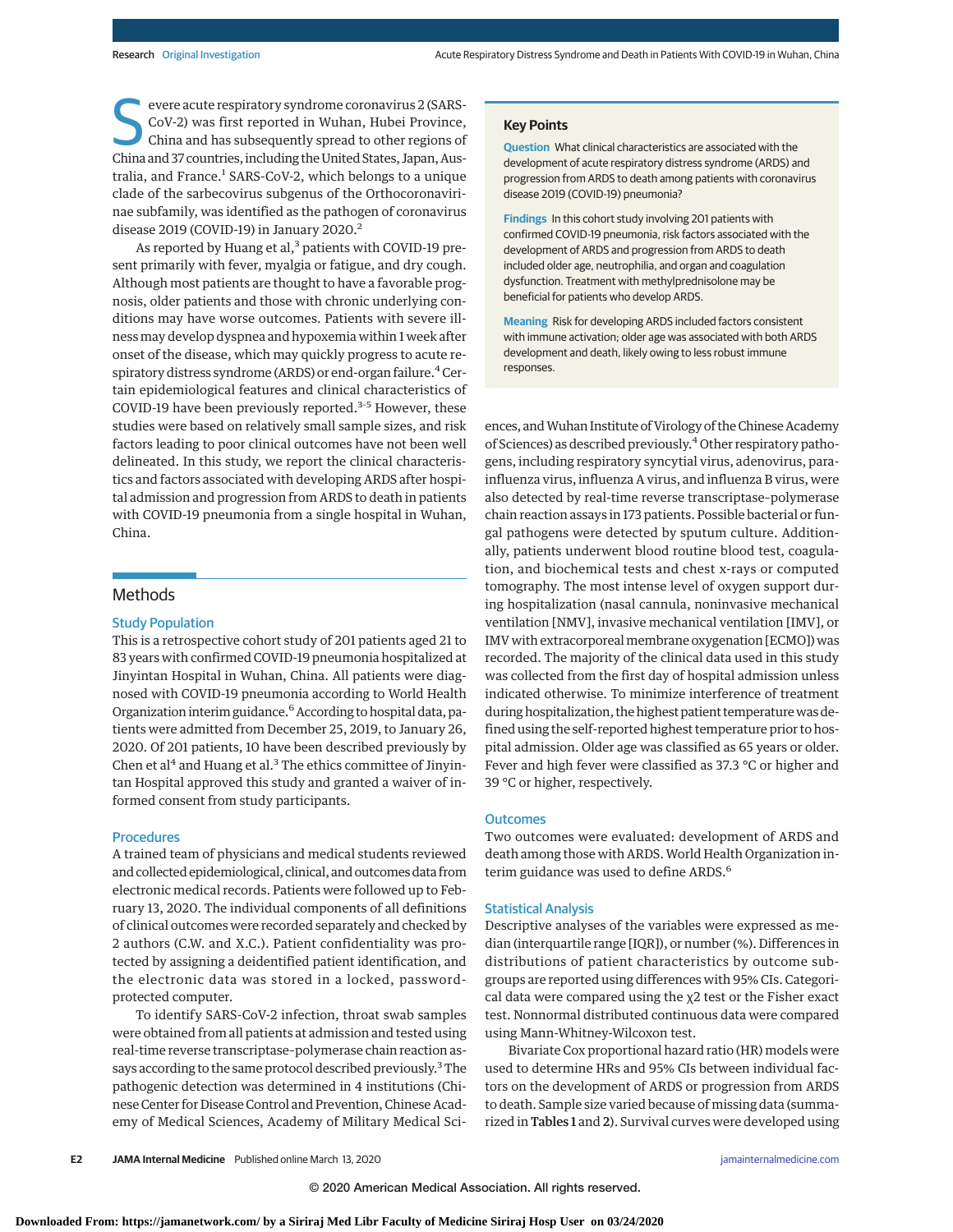S evere acute respiratory syndrome coronavirus 2 (SARS-CoV-2) was first reported in Wuhan, Hubei Province,<br>China and has subsequently spread to other regions of CoV-2) was first reported in Wuhan, Hubei Province, China and 37 countries, including the United States, Japan, Australia, and France.<sup>1</sup> SARS-CoV-2, which belongs to a unique clade of the sarbecovirus subgenus of the Orthocoronavirinae subfamily, was identified as the pathogen of coronavirus disease 2019 (COVID-19) in January 2020.<sup>2</sup>

As reported by Huang et al,<sup>3</sup> patients with COVID-19 present primarily with fever, myalgia or fatigue, and dry cough. Although most patients are thought to have a favorable prognosis, older patients and those with chronic underlying conditions may have worse outcomes. Patients with severe illness may develop dyspnea and hypoxemia within 1 week after onset of the disease, which may quickly progress to acute respiratory distress syndrome (ARDS) or end-organ failure.<sup>4</sup> Certain epidemiological features and clinical characteristics of COVID-19 have been previously reported.<sup>3-5</sup> However, these studies were based on relatively small sample sizes, and risk factors leading to poor clinical outcomes have not been well delineated. In this study, we report the clinical characteristics and factors associated with developing ARDS after hospital admission and progression from ARDS to death in patients with COVID-19 pneumonia from a single hospital in Wuhan, China.

## Methods

## Study Population

This is a retrospective cohort study of 201 patients aged 21 to 83 years with confirmed COVID-19 pneumonia hospitalized at Jinyintan Hospital in Wuhan, China. All patients were diagnosed with COVID-19 pneumonia according to World Health Organization interim guidance.<sup>6</sup> According to hospital data, patients were admitted from December 25, 2019, to January 26, 2020. Of 201 patients, 10 have been described previously by Chen et al<sup>4</sup> and Huang et al.<sup>3</sup> The ethics committee of Jinyintan Hospital approved this study and granted a waiver of informed consent from study participants.

### **Procedures**

A trained team of physicians and medical students reviewed and collected epidemiological, clinical, and outcomes data from electronic medical records. Patients were followed up to February 13, 2020. The individual components of all definitions of clinical outcomes were recorded separately and checked by 2 authors (C.W. and X.C.). Patient confidentiality was protected by assigning a deidentified patient identification, and the electronic data was stored in a locked, passwordprotected computer.

To identify SARS-CoV-2 infection, throat swab samples were obtained from all patients at admission and tested using real-time reverse transcriptase–polymerase chain reaction assays according to the same protocol described previously.<sup>3</sup> The pathogenic detection was determined in 4 institutions (Chinese Center for Disease Control and Prevention, Chinese Academy of Medical Sciences, Academy of Military Medical Sci-

#### **Key Points**

**Question** What clinical characteristics are associated with the development of acute respiratory distress syndrome (ARDS) and progression from ARDS to death among patients with coronavirus disease 2019 (COVID-19) pneumonia?

**Findings** In this cohort study involving 201 patients with confirmed COVID-19 pneumonia, risk factors associated with the development of ARDS and progression from ARDS to death included older age, neutrophilia, and organ and coagulation dysfunction. Treatment with methylprednisolone may be beneficial for patients who develop ARDS.

**Meaning** Risk for developing ARDS included factors consistent with immune activation; older age was associated with both ARDS development and death, likely owing to less robust immune responses.

ences, and Wuhan Institute of Virology of the Chinese Academy of Sciences) as described previously.<sup>4</sup> Other respiratory pathogens, including respiratory syncytial virus, adenovirus, parainfluenza virus, influenza A virus, and influenza B virus, were also detected by real-time reverse transcriptase–polymerase chain reaction assays in 173 patients. Possible bacterial or fungal pathogens were detected by sputum culture. Additionally, patients underwent blood routine blood test, coagulation, and biochemical tests and chest x-rays or computed tomography. The most intense level of oxygen support during hospitalization (nasal cannula, noninvasive mechanical ventilation [NMV], invasive mechanical ventilation [IMV], or IMV with extracorporeal membrane oxygenation [ECMO]) was recorded. The majority of the clinical data used in this study was collected from the first day of hospital admission unless indicated otherwise. To minimize interference of treatment during hospitalization, the highest patient temperature was defined using the self-reported highest temperature prior to hospital admission. Older age was classified as 65 years or older. Fever and high fever were classified as 37.3 °C or higher and 39 °C or higher, respectively.

#### **Outcomes**

Two outcomes were evaluated: development of ARDS and death among those with ARDS. World Health Organization interim guidance was used to define ARDS.<sup>6</sup>

#### Statistical Analysis

Descriptive analyses of the variables were expressed as median (interquartile range [IQR]), or number (%). Differences in distributions of patient characteristics by outcome subgroups are reported using differences with 95% CIs. Categorical data were compared using the  $x^2$  test or the Fisher exact test. Nonnormal distributed continuous data were compared using Mann-Whitney-Wilcoxon test.

Bivariate Cox proportional hazard ratio (HR) models were used to determine HRs and 95% CIs between individual factors on the development of ARDS or progression from ARDS to death. Sample size varied because of missing data (summarized in Tables 1 and 2). Survival curves were developed using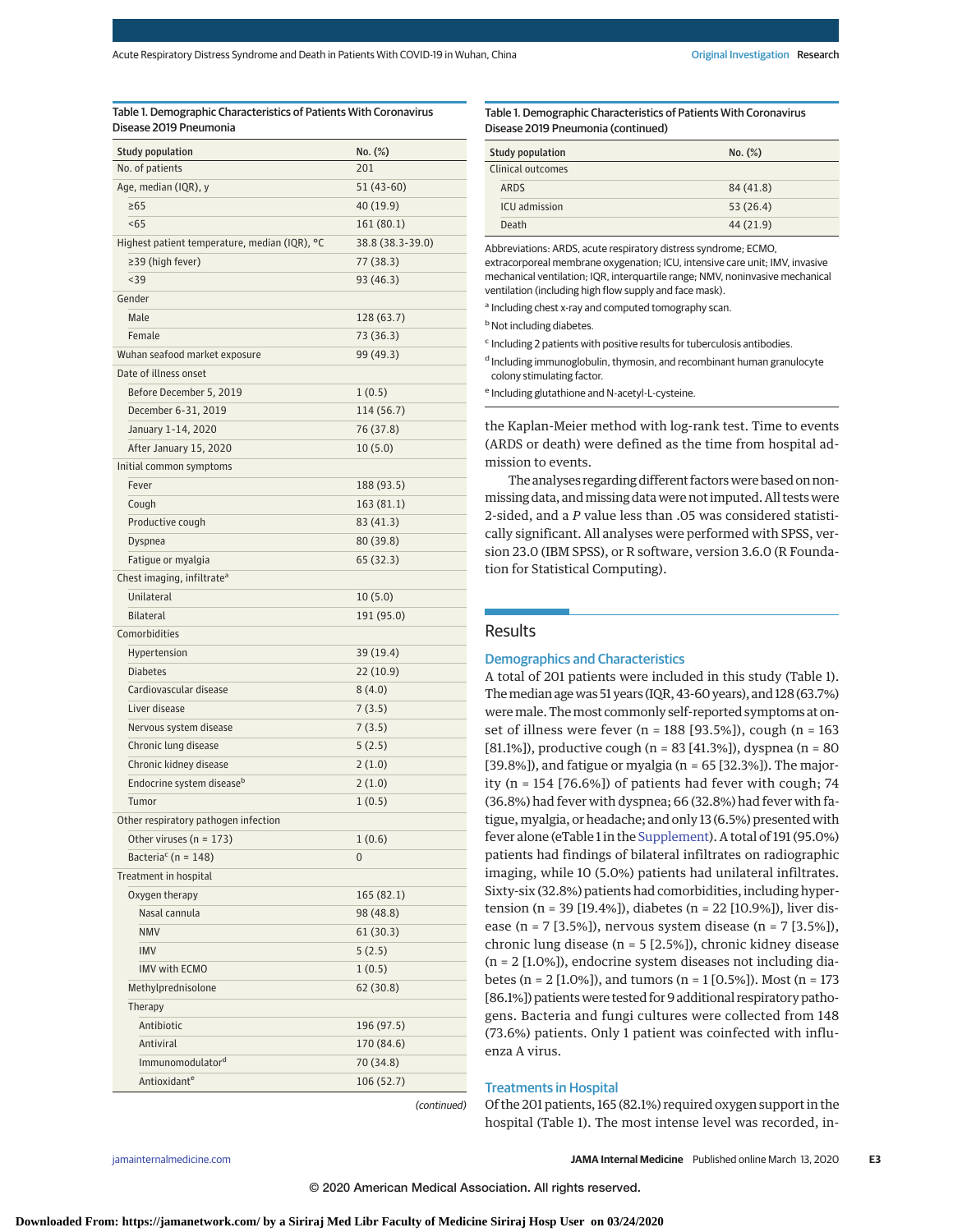#### Table 1. Demographic Characteristics of Patients With Coronavirus Disease 2019 Pneumonia

| <b>Study population</b>                       | No. (%)           |
|-----------------------------------------------|-------------------|
| No. of patients                               | 201               |
| Age, median (IQR), y                          | 51 (43-60)        |
| $\geq 65$                                     | 40 (19.9)         |
| < 65                                          | 161 (80.1)        |
| Highest patient temperature, median (IQR), °C | 38.8 (38.3-39.0)  |
| $\geq$ 39 (high fever)                        | 77 (38.3)         |
| $39$                                          | 93 (46.3)         |
| Gender                                        |                   |
| Male                                          | 128 (63.7)        |
| Female                                        | 73 (36.3)         |
| Wuhan seafood market exposure                 | 99 (49.3)         |
| Date of illness onset                         |                   |
| Before December 5, 2019                       | 1(0.5)            |
| December 6-31, 2019                           | 114 (56.7)        |
| January 1-14, 2020                            | 76 (37.8)         |
| After January 15, 2020                        | 10(5.0)           |
| Initial common symptoms                       |                   |
| Fever                                         | 188 (93.5)        |
| Cough                                         | 163 (81.1)        |
| Productive cough                              | 83 (41.3)         |
| Dyspnea                                       | 80 (39.8)         |
| Fatigue or myalgia                            | 65 (32.3)         |
| Chest imaging, infiltrate <sup>a</sup>        |                   |
| Unilateral                                    | 10(5.0)           |
| <b>Bilateral</b>                              | 191 (95.0)        |
| Comorbidities                                 |                   |
| Hypertension                                  | 39 (19.4)         |
| <b>Diabetes</b>                               | 22(10.9)          |
| Cardiovascular disease                        | 8(4.0)            |
| Liver disease                                 | 7 (3.5)           |
|                                               |                   |
| Nervous system disease                        | 7 (3.5)<br>5(2.5) |
| Chronic lung disease                          |                   |
| Chronic kidney disease                        | 2(1.0)            |
| Endocrine system disease <sup>b</sup>         | 2(1.0)            |
| Tumor                                         | 1(0.5)            |
| Other respiratory pathogen infection          |                   |
| Other viruses ( $n = 173$ )                   | 1(0.6)            |
| Bacteria <sup>c</sup> (n = 148)               | 0                 |
| Treatment in hospital                         |                   |
| Oxygen therapy                                | 165 (82.1)        |
| Nasal cannula                                 | 98 (48.8)         |
| <b>NMV</b>                                    | 61(30.3)          |
| <b>IMV</b>                                    | 5(2.5)            |
| <b>IMV with ECMO</b>                          | 1(0.5)            |
| Methylprednisolone                            | 62 (30.8)         |
| Therapy                                       |                   |
| Antibiotic                                    | 196 (97.5)        |
| Antiviral                                     | 170 (84.6)        |
| Immunomodulator <sup>d</sup>                  | 70 (34.8)         |
| Antioxidante                                  | 106 (52.7)        |

(continued)

Table 1. Demographic Characteristics of Patients With Coronavirus Disease 2019 Pneumonia (continued)

| <b>Study population</b> | No. (%)   |
|-------------------------|-----------|
| Clinical outcomes       |           |
| ARDS                    | 84 (41.8) |
| ICU admission           | 53(26.4)  |
| Death                   | 44 (21.9) |

Abbreviations: ARDS, acute respiratory distress syndrome; ECMO, extracorporeal membrane oxygenation; ICU, intensive care unit; IMV, invasive mechanical ventilation; IQR, interquartile range; NMV, noninvasive mechanical ventilation (including high flow supply and face mask).

a Including chest x-ray and computed tomography scan.

**b** Not including diabetes.

<sup>c</sup> Including 2 patients with positive results for tuberculosis antibodies.

<sup>d</sup> Including immunoglobulin, thymosin, and recombinant human granulocyte colony stimulating factor.

<sup>e</sup> Including glutathione and N-acetyl-L-cysteine.

the Kaplan-Meier method with log-rank test. Time to events (ARDS or death) were defined as the time from hospital admission to events.

The analyses regarding different factorswere based on nonmissing data, and missing data were not imputed. All tests were 2-sided, and a *P* value less than .05 was considered statistically significant. All analyses were performed with SPSS, version 23.0 (IBM SPSS), or R software, version 3.6.0 (R Foundation for Statistical Computing).

## **Results**

## Demographics and Characteristics

A total of 201 patients were included in this study (Table 1). Themedian agewas 51 years (IQR, 43-60 years), and 128 (63.7%) were male. The most commonly self-reported symptoms at onset of illness were fever (n = 188 [93.5%]), cough (n = 163 [81.1%]), productive cough (n = 83 [41.3%]), dyspnea (n = 80 [39.8%]), and fatigue or myalgia ( $n = 65$  [32.3%]). The majority (n = 154 [76.6%]) of patients had fever with cough; 74 (36.8%) had fever with dyspnea; 66 (32.8%) had fever with fatigue, myalgia, or headache; and only 13 (6.5%) presented with fever alone (eTable 1 in the [Supplement\)](https://jamanetwork.com/journals/jama/fullarticle/10.1001/jamainternmed.2020.0994?utm_campaign=articlePDF%26utm_medium=articlePDFlink%26utm_source=articlePDF%26utm_content=jamainternmed.2020.0994). A total of 191 (95.0%) patients had findings of bilateral infiltrates on radiographic imaging, while 10 (5.0%) patients had unilateral infiltrates. Sixty-six (32.8%) patients had comorbidities, including hypertension (n = 39 [19.4%]), diabetes (n = 22 [10.9%]), liver disease (n = 7 [3.5%]), nervous system disease (n = 7 [3.5%]), chronic lung disease (n = 5 [2.5%]), chronic kidney disease (n = 2 [1.0%]), endocrine system diseases not including diabetes (n = 2 [1.0%]), and tumors (n = 1 [0.5%]). Most (n = 173 [86.1%]) patients were tested for 9 additional respiratory pathogens. Bacteria and fungi cultures were collected from 148 (73.6%) patients. Only 1 patient was coinfected with influenza A virus.

#### Treatments in Hospital

Of the 201 patients, 165 (82.1%) required oxygen support in the hospital (Table 1). The most intense level was recorded, in-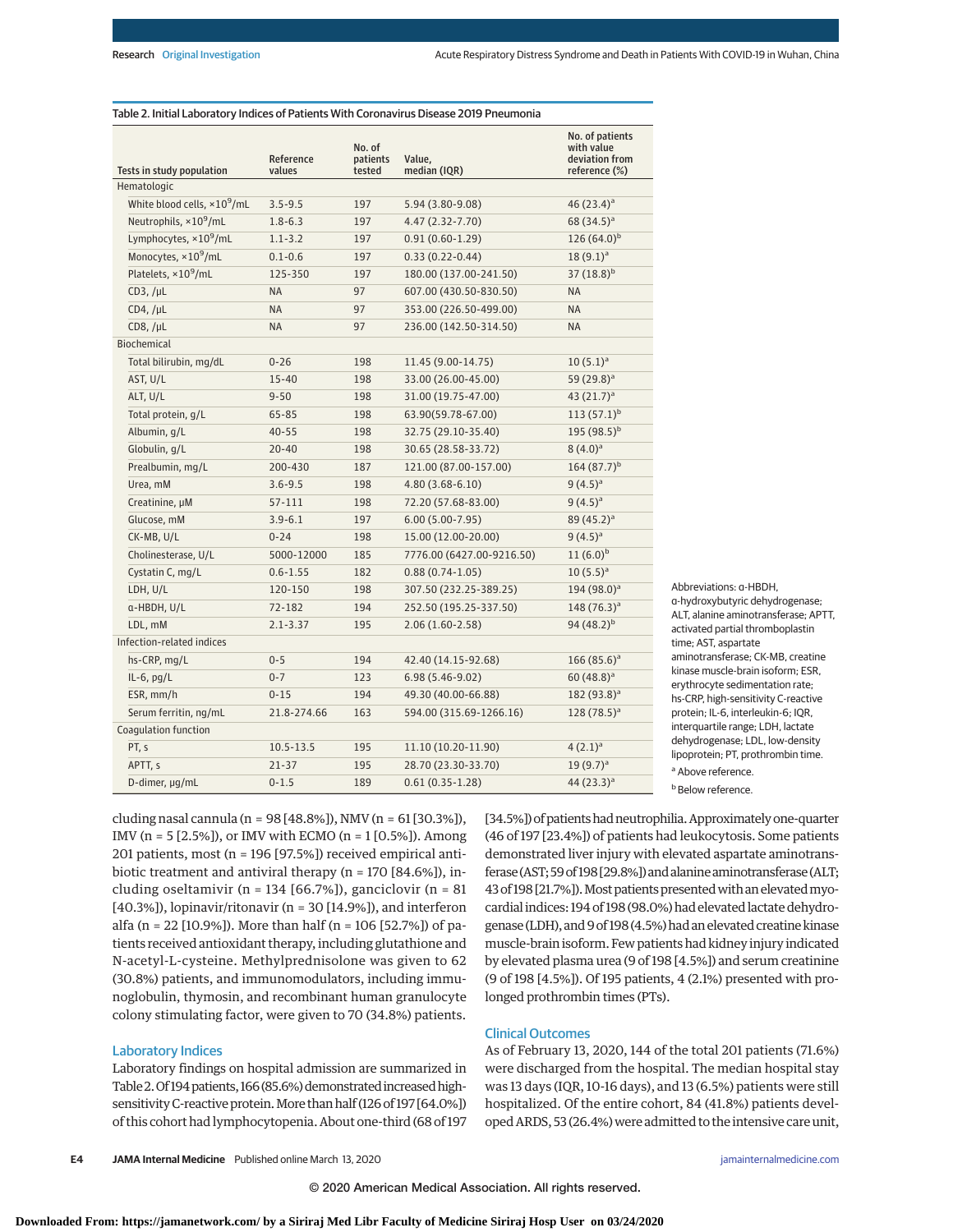| Tests in study population               | Reference<br>values | No. of<br>patients<br>tested | Value,<br>median (IQR)                     | No. of patients<br>with value<br>deviation from<br>reference (%) |
|-----------------------------------------|---------------------|------------------------------|--------------------------------------------|------------------------------------------------------------------|
| Hematologic                             |                     |                              |                                            |                                                                  |
| White blood cells, ×10 <sup>9</sup> /mL | $3.5 - 9.5$         | 197                          | 5.94 (3.80-9.08)                           | 46 $(23.4)$ <sup>a</sup>                                         |
| Neutrophils, ×10 <sup>9</sup> /mL       | $1.8 - 6.3$         | 197                          | 4.47 (2.32-7.70)                           | 68 $(34.5)^a$                                                    |
| Lymphocytes, ×10 <sup>9</sup> /mL       | $1.1 - 3.2$         | 197                          | $0.91(0.60-1.29)$                          | $126(64.0)^b$                                                    |
| Monocytes, ×10 <sup>9</sup> /mL         | $0.1 - 0.6$         | 197                          | $0.33(0.22 - 0.44)$                        | $18(9.1)^a$                                                      |
| Platelets, ×10 <sup>9</sup> /mL         | 125-350             | 197                          | 180.00 (137.00-241.50)                     | 37 $(18.8)^{b}$                                                  |
| CD3, /µL                                | <b>NA</b>           | 97                           | 607.00 (430.50-830.50)                     | <b>NA</b>                                                        |
| $CD4$ , / $\mu$ L                       | <b>NA</b>           | 97                           | 353.00 (226.50-499.00)                     | <b>NA</b>                                                        |
| CD8, /µL                                | <b>NA</b>           | 97                           | 236.00 (142.50-314.50)                     | <b>NA</b>                                                        |
| Biochemical                             |                     |                              |                                            |                                                                  |
| Total bilirubin, mg/dL                  | $0 - 26$            | 198                          | 11.45 (9.00-14.75)                         | $10(5.1)^a$                                                      |
| AST, U/L                                | $15 - 40$           | 198                          | 33.00 (26.00-45.00)                        | 59 (29.8) <sup>a</sup>                                           |
| ALT, U/L                                | $9 - 50$            | 198                          | 31.00 (19.75-47.00)                        | 43 $(21.7)^a$                                                    |
| Total protein, g/L                      | $65 - 85$           | 198                          | 63.90(59.78-67.00)                         | $113(57.1)^b$                                                    |
|                                         | $40 - 55$           | 198                          |                                            | 195 $(98.5)^{b}$                                                 |
| Albumin, g/L                            | $20 - 40$           | 198                          | 32.75 (29.10-35.40)<br>30.65 (28.58-33.72) |                                                                  |
| Globulin, g/L                           |                     |                              |                                            | $8(4.0)^a$                                                       |
| Prealbumin, mg/L                        | 200-430             | 187                          | 121.00 (87.00-157.00)                      | $164(87.7)^{b}$                                                  |
| Urea, mM                                | $3.6 - 9.5$         | 198                          | $4.80(3.68-6.10)$                          | $9(4.5)^a$                                                       |
| Creatinine, µM                          | $57 - 111$          | 198                          | 72.20 (57.68-83.00)                        | $9(4.5)^a$                                                       |
| Glucose, mM                             | $3.9 - 6.1$         | 197                          | $6.00(5.00-7.95)$                          | $89(45.2)^a$                                                     |
| CK-MB, U/L                              | $0 - 24$            | 198                          | 15.00 (12.00-20.00)                        | $9(4.5)^a$                                                       |
| Cholinesterase, U/L                     | 5000-12000          | 185                          | 7776.00 (6427.00-9216.50)                  | $11(6.0)^{b}$                                                    |
| Cystatin C, mg/L                        | $0.6 - 1.55$        | 182                          | $0.88(0.74-1.05)$                          | $10(5.5)^a$                                                      |
| LDH, U/L                                | 120-150             | 198                          | 307.50 (232.25-389.25)                     | 194 $(98.0)^a$                                                   |
| a-HBDH, U/L                             | 72-182              | 194                          | 252.50 (195.25-337.50)                     | $148(76.3)^a$                                                    |
| LDL, mM                                 | $2.1 - 3.37$        | 195                          | $2.06(1.60-2.58)$                          | 94 $(48.2)^{b}$                                                  |
| Infection-related indices               |                     |                              |                                            |                                                                  |
| hs-CRP, mg/L                            | $0 - 5$             | 194                          | 42.40 (14.15-92.68)                        | $166(85.6)^a$                                                    |
| $IL-6$ , pg/L                           | $0 - 7$             | 123                          | $6.98(5.46-9.02)$                          | $60(48.8)^a$                                                     |
| ESR, mm/h                               | $0 - 15$            | 194                          | 49.30 (40.00-66.88)                        | $182 (93.8)^a$                                                   |
| Serum ferritin, ng/mL                   | 21.8-274.66         | 163                          | 594.00 (315.69-1266.16)                    | $128(78.5)^a$                                                    |
| Coagulation function                    |                     |                              |                                            |                                                                  |
| PT, s                                   | $10.5 - 13.5$       | 195                          | 11.10 (10.20-11.90)                        | $4(2.1)^a$                                                       |
| APTT, s                                 | $21 - 37$           | 195                          | 28.70 (23.30-33.70)                        | $19(9.7)^a$                                                      |
| D-dimer, µg/mL                          | $0 - 1.5$           | 189                          | $0.61(0.35-1.28)$                          | 44 $(23.3)^a$                                                    |

Table 2. Initial Laboratory Indices of Patients With Coronavirus Disease 2019 Pneumonia

Abbreviations: α-HBDH, α-hydroxybutyric dehydrogenase; ALT, alanine aminotransferase; APTT, activated partial thromboplastin time; AST, aspartate aminotransferase; CK-MB, creatine kinase muscle-brain isoform; ESR, erythrocyte sedimentation rate; hs-CRP, high-sensitivity C-reactive protein; IL-6, interleukin-6; IQR, interquartile range; LDH, lactate dehydrogenase; LDL, low-density lipoprotein; PT, prothrombin time. <sup>a</sup> Above reference. **b** Below reference.

cluding nasal cannula (n = 98 [48.8%]), NMV (n = 61 [30.3%]), IMV (n = 5 [2.5%]), or IMV with ECMO (n = 1 [0.5%]). Among 201 patients, most (n = 196 [97.5%]) received empirical antibiotic treatment and antiviral therapy (n = 170 [84.6%]), including oseltamivir (n = 134 [66.7%]), ganciclovir (n = 81 [40.3%]), lopinavir/ritonavir (n = 30 [14.9%]), and interferon alfa (n = 22 [10.9%]). More than half (n = 106 [52.7%]) of patients received antioxidant therapy, including glutathione and N-acetyl-L-cysteine. Methylprednisolone was given to 62 (30.8%) patients, and immunomodulators, including immunoglobulin, thymosin, and recombinant human granulocyte colony stimulating factor, were given to 70 (34.8%) patients.

## Laboratory Indices

Laboratory findings on hospital admission are summarized in Table 2. Of 194 patients, 166 (85.6%) demonstrated increased highsensitivity C-reactive protein. More than half (126 of 197 [64.0%]) of this cohort had lymphocytopenia. About one-third (68 of 197

[34.5%]) of patients had neutrophilia. Approximately one-quarter (46 of 197 [23.4%]) of patients had leukocytosis. Some patients demonstrated liver injury with elevated aspartate aminotransferase (AST; 59 of 198 [29.8%]) and alanine aminotransferase (ALT; 43 of 198 [21.7%]). Most patients presented with an elevated myocardial indices: 194 of 198 (98.0%) had elevated lactate dehydrogenase (LDH), and 9 of 198 (4.5%) had an elevated creatine kinase muscle-brain isoform. Few patients had kidney injury indicated by elevated plasma urea (9 of 198 [4.5%]) and serum creatinine (9 of 198 [4.5%]). Of 195 patients, 4 (2.1%) presented with prolonged prothrombin times (PTs).

#### Clinical Outcomes

As of February 13, 2020, 144 of the total 201 patients (71.6%) were discharged from the hospital. The median hospital stay was 13 days (IQR, 10-16 days), and 13 (6.5%) patients were still hospitalized. Of the entire cohort, 84 (41.8%) patients developed ARDS, 53 (26.4%) were admitted to the intensive care unit,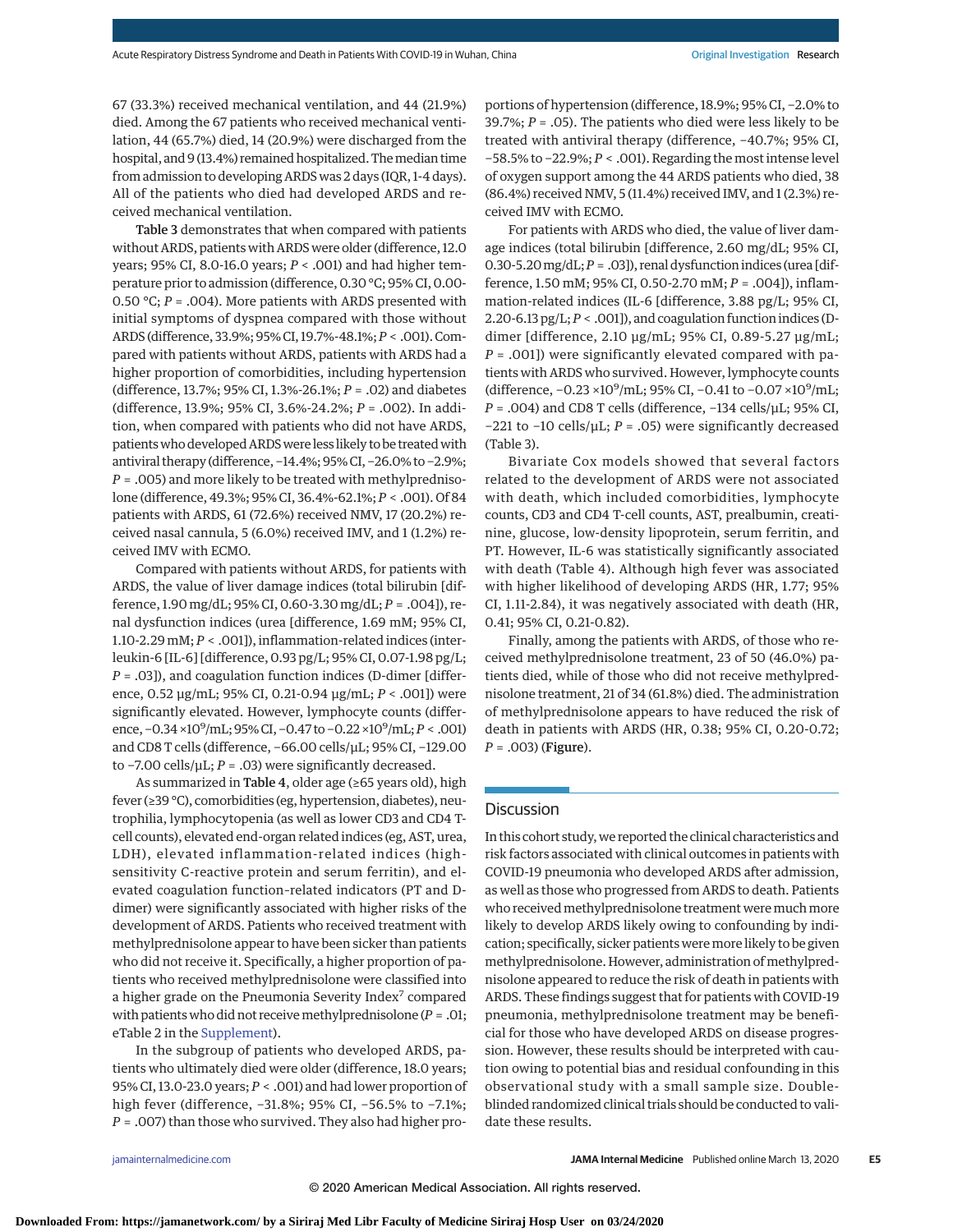67 (33.3%) received mechanical ventilation, and 44 (21.9%) died. Among the 67 patients who received mechanical ventilation, 44 (65.7%) died, 14 (20.9%) were discharged from the hospital, and 9 (13.4%) remained hospitalized. The median time from admission to developing ARDS was 2 days (IQR, 1-4 days). All of the patients who died had developed ARDS and received mechanical ventilation.

Table 3 demonstrates that when compared with patients without ARDS, patients with ARDS were older (difference, 12.0 years; 95% CI, 8.0-16.0 years; *P* < .001) and had higher temperature prior to admission (difference, 0.30 °C; 95% CI, 0.00- 0.50 °C; *P* = .004). More patients with ARDS presented with initial symptoms of dyspnea compared with those without ARDS (difference, 33.9%; 95% CI, 19.7%-48.1%;*P* < .001). Compared with patients without ARDS, patients with ARDS had a higher proportion of comorbidities, including hypertension (difference, 13.7%; 95% CI, 1.3%-26.1%; *P* = .02) and diabetes (difference, 13.9%; 95% CI, 3.6%-24.2%; *P* = .002). In addition, when compared with patients who did not have ARDS, patients who developed ARDS were less likely to be treated with antiviral therapy (difference, −14.4%; 95% CI, −26.0% to −2.9%; *P* = .005) and more likely to be treated with methylprednisolone (difference, 49.3%; 95% CI, 36.4%-62.1%; *P* < .001). Of 84 patients with ARDS, 61 (72.6%) received NMV, 17 (20.2%) received nasal cannula, 5 (6.0%) received IMV, and 1 (1.2%) received IMV with ECMO.

Compared with patients without ARDS, for patients with ARDS, the value of liver damage indices (total bilirubin [difference, 1.90 mg/dL; 95% CI, 0.60-3.30 mg/dL; *P* = .004]), renal dysfunction indices (urea [difference, 1.69 mM; 95% CI, 1.10-2.29 mM; *P* < .001]), inflammation-related indices (interleukin-6 [IL-6] [difference, 0.93 pg/L; 95% CI, 0.07-1.98 pg/L; *P* = .03]), and coagulation function indices (D-dimer [difference, 0.52 μg/mL; 95% CI, 0.21-0.94 μg/mL; *P* < .001]) were significantly elevated. However, lymphocyte counts (difference, -0.34 ×10<sup>9</sup>/mL; 95% CI, -0.47 to -0.22 ×10<sup>9</sup>/mL; *P* < .001) and CD8 T cells (difference, −66.00 cells/μL; 95% CI, −129.00 to −7.00 cells/μL; *P* = .03) were significantly decreased.

As summarized in Table 4, older age (≥65 years old), high fever (≥39 °C), comorbidities (eg, hypertension, diabetes), neutrophilia, lymphocytopenia (as well as lower CD3 and CD4 Tcell counts), elevated end-organ related indices (eg, AST, urea, LDH), elevated inflammation-related indices (highsensitivity C-reactive protein and serum ferritin), and elevated coagulation function–related indicators (PT and Ddimer) were significantly associated with higher risks of the development of ARDS. Patients who received treatment with methylprednisolone appear to have been sicker than patients who did not receive it. Specifically, a higher proportion of patients who received methylprednisolone were classified into a higher grade on the Pneumonia Severity Index<sup>7</sup> compared with patients who did not receivemethylprednisolone (*P* = .01; eTable 2 in the [Supplement\)](https://jamanetwork.com/journals/jama/fullarticle/10.1001/jamainternmed.2020.0994?utm_campaign=articlePDF%26utm_medium=articlePDFlink%26utm_source=articlePDF%26utm_content=jamainternmed.2020.0994).

In the subgroup of patients who developed ARDS, patients who ultimately died were older (difference, 18.0 years; 95% CI, 13.0-23.0 years; *P* < .001) and had lower proportion of high fever (difference, −31.8%; 95% CI, −56.5% to −7.1%; *P* = .007) than those who survived. They also had higher proportions of hypertension (difference, 18.9%; 95% CI, −2.0% to 39.7%;  $P = .05$ ). The patients who died were less likely to be treated with antiviral therapy (difference, −40.7%; 95% CI, −58.5% to −22.9%; *P* < .001). Regarding the most intense level of oxygen support among the 44 ARDS patients who died, 38 (86.4%) received NMV, 5 (11.4%) received IMV, and 1 (2.3%) received IMV with ECMO.

For patients with ARDS who died, the value of liver damage indices (total bilirubin [difference, 2.60 mg/dL; 95% CI, 0.30-5.20mg/dL;*P* = .03]), renal dysfunction indices (urea [difference, 1.50 mM; 95% CI, 0.50-2.70 mM; *P* = .004]), inflammation-related indices (IL-6 [difference, 3.88 pg/L; 95% CI, 2.20-6.13 pg/L;*P* < .001]), and coagulation function indices (Ddimer [difference, 2.10 μg/mL; 95% CI, 0.89-5.27 μg/mL; *P* = .001]) were significantly elevated compared with patients with ARDS who survived. However, lymphocyte counts (difference, -0.23 ×10<sup>9</sup>/mL; 95% CI, -0.41 to -0.07 ×10<sup>9</sup>/mL; *P* = .004) and CD8 T cells (difference, -134 cells/µL; 95% CI, −221 to −10 cells/μL; *P* = .05) were significantly decreased (Table 3).

Bivariate Cox models showed that several factors related to the development of ARDS were not associated with death, which included comorbidities, lymphocyte counts, CD3 and CD4 T-cell counts, AST, prealbumin, creatinine, glucose, low-density lipoprotein, serum ferritin, and PT. However, IL-6 was statistically significantly associated with death (Table 4). Although high fever was associated with higher likelihood of developing ARDS (HR, 1.77; 95% CI, 1.11-2.84), it was negatively associated with death (HR, 0.41; 95% CI, 0.21-0.82).

Finally, among the patients with ARDS, of those who received methylprednisolone treatment, 23 of 50 (46.0%) patients died, while of those who did not receive methylprednisolone treatment, 21 of 34 (61.8%) died. The administration of methylprednisolone appears to have reduced the risk of death in patients with ARDS (HR, 0.38; 95% CI, 0.20-0.72; *P* = .003) (Figure).

## **Discussion**

In this cohort study, we reported the clinical characteristics and risk factors associated with clinical outcomes in patients with COVID-19 pneumonia who developed ARDS after admission, as well as those who progressed from ARDS to death. Patients who received methylprednisolone treatment were much more likely to develop ARDS likely owing to confounding by indication; specifically, sicker patients weremore likely to be given methylprednisolone. However, administration of methylprednisolone appeared to reduce the risk of death in patients with ARDS. These findings suggest that for patients with COVID-19 pneumonia, methylprednisolone treatment may be beneficial for those who have developed ARDS on disease progression. However, these results should be interpreted with caution owing to potential bias and residual confounding in this observational study with a small sample size. Doubleblinded randomized clinical trials should be conducted to validate these results.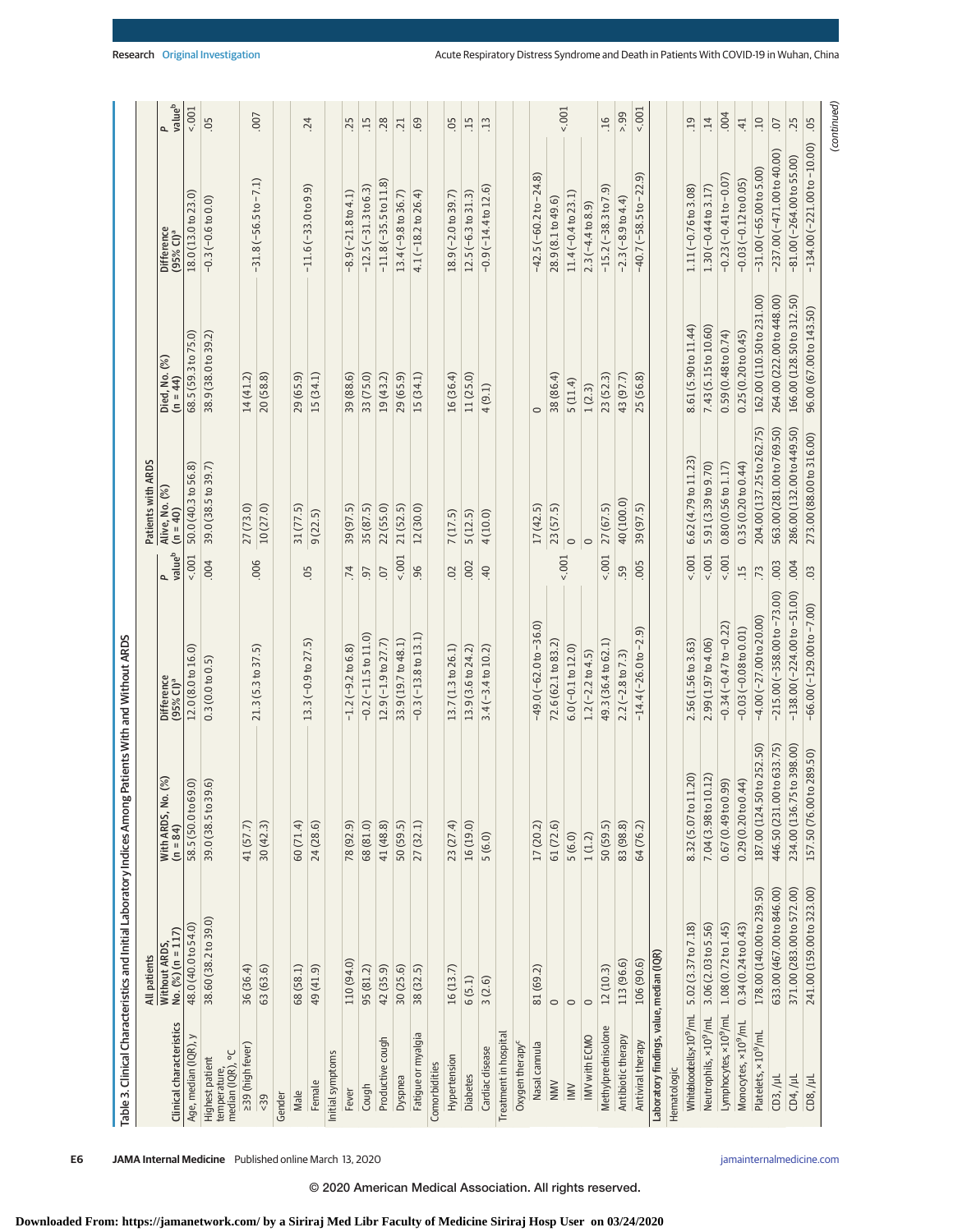|                                                                | Table 3. Clinical Characteristics and Initial Laboratory Indices Among |                                      | Patients With and Without ARDS      |                |                              |                             |                                 |                 |
|----------------------------------------------------------------|------------------------------------------------------------------------|--------------------------------------|-------------------------------------|----------------|------------------------------|-----------------------------|---------------------------------|-----------------|
|                                                                | All patients                                                           |                                      |                                     |                | Patients with ARDS           |                             |                                 |                 |
| Clinical characteristics                                       | No. $(%)$ (n = 117)<br>Without ARDS,                                   | (%)<br>With ARDS, No.<br>(n = $84$ ) | Difference<br>(95% CI) <sup>a</sup> | valueb         | Alive, No. $(%)$<br>(n = 40) | Died, No. $(%)$<br>(n = 44) | Difference<br>(95% CI)ª         | valueb          |
| Age, median (IQR), y                                           | 48.0 (40.0 to 54.0)                                                    | 58.5 (50.0 to 69.0)                  | 12.0(8.0 to 16.0)                   | 5001           | 50.0 (40.3 to 56.8)          | 68.5 (59.3 to 75.0)         | 18.0(13.0 to 23.0)              | 5001            |
| $\sqrt{2}$<br>Highest patient<br>temperature,<br>median (IQR), | 38.60 (38.2 to 39.0)                                                   | 39.0 (38.5 to 39.6)                  | 0.3(0.0 to 0.5)                     | 004            | 39.0 (38.5 to 39.7)          | 38.9 (38.0 to 39.2)         | $-0.3(-0.6\text{ to }0.0)$      | 05              |
| 239 (high fever)                                               | 36 (36.4)                                                              | 41(57.7)                             |                                     |                | 27 (73.0)                    | 14(41.2)                    |                                 |                 |
| $55 - 39$                                                      | 63(63.6)                                                               | 30(42.3)                             | 21.3 (5.3 to 37.5)                  | .006           | 10 (27.0)                    | 20 (58.8)                   | $-31.8(-56.5 to -7.1)$          | 007             |
| Gender                                                         |                                                                        |                                      |                                     |                |                              |                             |                                 |                 |
| Male                                                           | 68 (58.1)                                                              | 60(71.4)                             |                                     |                | 31(77.5)                     | 29 (65.9)                   |                                 |                 |
| Female                                                         | 49 (41.9)                                                              | 24 (28.6)                            | $13.3(-0.9 to 27.5)$                | 05             | 9(22.5)                      | 15 (34.1)                   | $-11.6(-33.0 to 9.9)$           | .24             |
| Initial symptoms                                               |                                                                        |                                      |                                     |                |                              |                             |                                 |                 |
| Fever                                                          | 110 (94.0)                                                             | 78 (92.9)                            | $-1.2(-9.2 to 6.8)$                 | .74            | 39 (97.5)                    | 39 (88.6)                   | $-8.9(-21.8 \text{ to } 4.1)$   | .25             |
| Cough                                                          | 95(81.2)                                                               | 68(81.0)                             | $-0.2(-11.5$ to $11.0)$             | $-97$          | 35 (87.5)                    | 33 (75.0)                   | $-12.5(-31.3 \text{ to } 6.3)$  | .15             |
| Productive cough                                               | 42 (35.9)                                                              | 41 (48.8)                            | $12.9(-1.9 to 27.7)$                | $\overline{0}$ | 22 (55.0)                    | 19 (43.2)                   | $-11.8(-35.5 \text{ to } 11.8)$ | .28             |
| Dyspnea                                                        | 30 (25.6)                                                              | 50(59.5)                             | 33.9 (19.7 to 48.1)                 | $1001 -$       | 21(52.5)                     | 29 (65.9)                   | 13.4 (-9.8 to 36.7)             | $\overline{21}$ |
| Fatigue or myalgia                                             | 38 (32.5)                                                              | 27(32.1)                             | $-0.3(-13.8$ to $13.1)$             | 96             | 12 (30.0)                    | 15 (34.1)                   | $4.1(-18.2$ to $26.4)$          | 69              |
| Comorbidities                                                  |                                                                        |                                      |                                     |                |                              |                             |                                 |                 |
| Hypertension                                                   | 16 (13.7)                                                              | 23 (27.4)                            | 13.7(1.3 to 26.1)                   | $\overline{0}$ | 7(17.5)                      | 16 (36.4)                   | $18.9(-2.0 to 39.7)$            | $-50$           |
| <b>Diabetes</b>                                                | 6(5.1)                                                                 | 16(19.0)                             | 13.9 (3.6 to 24.2)                  | .002           | 5(12.5)                      | 11 (25.0)                   | $12.5(-6.3 to 31.3)$            | .15             |
| Cardiac disease                                                | 3(2.6)                                                                 | 5(6.0)                               | $3.4(-3.4 to 10.2)$                 | $-40$          | 4(10.0)                      | 4(9.1)                      | $-0.9(-14.4 to 12.6)$           | $\overline{13}$ |
| Treatment in hospital                                          |                                                                        |                                      |                                     |                |                              |                             |                                 |                 |
| Oxygen therapy <sup>c</sup>                                    |                                                                        |                                      |                                     |                |                              |                             |                                 |                 |
| Nasal cannula                                                  | 81 (69.2)                                                              | 17 (20.2)                            | $-49.0(-62.0 to -36.0)$             |                | 17(42.5)                     | $\circ$                     | $-42.5(-60.2 to -24.8)$         |                 |
| NMV                                                            | $\circ$                                                                | 61(72.6)                             | 72.6(62.1 to 83.2)                  |                | 23(57.5)                     | 38 (86.4)                   | 28.9 (8.1 to 49.6)              |                 |
| $\geq$                                                         | $\circ$                                                                | 5(6.0)                               | $6.0(-0.1 to 12.0)$                 | 1001           | $\circ$                      | 5(11.4)                     | $11.4(-0.4 to 23.1)$            | 5001            |
| IMV with ECMO                                                  | $\circ$                                                                | 1(1.2)                               | $1.2(-2.2$ to $4.5)$                |                | $\circ$                      | 1(2.3)                      | $2.3(-4.4 to 8.9)$              |                 |
| Methylprednisolone                                             | 12(10.3)                                                               | 50 (59.5)                            | 49.3 (36.4 to 62.1)                 | 1001           | 27(67.5)                     | 23 (52.3)                   | $-15.2$ ( $-38.3$ to $7.9$ )    | $-16$           |
| Antibiotic therapy                                             | 113 (96.6)                                                             | 83 (98.8)                            | $2.2(-2.8 to 7.3)$                  | .59            | 40 (100.0)                   | 43 (97.7)                   | $-2.3(-8.9 to 4.4)$             | $-99$           |
| Antiviral therapy                                              | 106 (90.6)                                                             | 64 (76.2)                            | $-14.4(-26.0 to -2.9)$              | .005           | 39 (97.5)                    | 25 (56.8)                   | ெ<br>$-40.7(-58.5$ to $-22$ .   | 5001            |
| Laboratory findings, value, median (IQR)                       |                                                                        |                                      |                                     |                |                              |                             |                                 |                 |
| Hematologic                                                    |                                                                        |                                      |                                     |                |                              |                             |                                 |                 |
| Whiteboodells <sub>x</sub> 10 <sup>9</sup> /mL                 | 5.02 (3.37 to 7.18)                                                    | 8.32 (5.07 to 11.20)                 | 2.56 (1.56 to 3.63)                 | 1001           | 6.62 (4.79 to 11.23)         | 8.61 (5.90 to 11.44)        | $1.11(-0.76 \text{ to } 3.08)$  | .19             |
| Neutrophils, ×10 <sup>9</sup> /mL                              | 3.06 (2.03 to 5.56)                                                    | 7.04 (3.98 to 10.12)                 | 2.99 (1.97 to 4.06)                 | 5001           | 5.91 (3.39 to 9.70)          | 7.43 (5.15 to 10.60)        | $1.30(-0.44 to 3.17)$           | .14             |
| Lymphocytes, ×10 <sup>9</sup> /mL                              | 1.08 (0.72 to 1.45)                                                    | 0.67(0.49 to 0.99)                   | $-0.34(-0.47$ to $-0.22)$           | 001            | 0.80(0.56 to 1.17)           | 0.59(0.48 to 0.74)          | $-0.23(-0.41$ to $-0.07)$       | .004            |
| Monocytes, ×10 <sup>9</sup> /mL                                | 0.34(0.24 to 0.43)                                                     | 0.29(0.20 to 0.44)                   | $-0.03(-0.08 to 0.01)$              | .15            | 0.35(0.20 to 0.44)           | 0.25(0.20 to 0.45)          | $-0.03(-0.12$ to $0.05)$        | $\overline{41}$ |
| Platelets, ×10 <sup>9</sup> /mL                                | 178.00 (140.00 to 239.50)                                              | to 252.50)<br>187.00 (124.50         | $-4.00(-27.00 to 20.00)$            | .73            | 204.00 (137.25 to 262.75)    | 162.00 (110.50 to 231.00)   | $-31.00(-65.00 to 5.00)$        | .10             |
| $CD3$ , / $\mu$ L                                              | 633.00 (467.00 to 846.00)                                              | to 633.75)<br>446.50 (231.00         | $-215.00(-358.00 to -73.00)$        | .003           | 563.00 (281.00 to 769.50)    | 264.00 (222.00 to 448.00)   | $-237.00(-471.00 to 40.00)$     | $\overline{0}$  |
| $CD4$ , /µL                                                    | 371.00 (283.00 to 572.00)                                              | to 398.00)<br>234.00 (136.75         | $-138.00(-224.00 to -51.00)$        | .004           | 286.00 (132.00 to 449.50)    | 166.00 (128.50 to 312.50)   | $-81.00(-264.00 to 55.00)$      | .25             |
| CD8,/µL                                                        | 241.00 (159.00 to 323.00)                                              | 157.50 (76.00 to 289.50)             | $-66.00(-129.00 to -7.00)$          | $\overline{0}$ | 273.00 (88.00 to 316.00)     | 96.00 (67.00 to 143.50)     | $-134.00(-221.00 to -10.00)$    | 0 <sub>5</sub>  |
|                                                                |                                                                        |                                      |                                     |                |                              |                             |                                 |                 |

**E6 JAMA Internal Medicine** Published online March 13, 2020 **(Reprinted)** and *Reprinted and American* internalmedicine.com

(continued) (continued)

© 2020 American Medical Association. All rights reserved.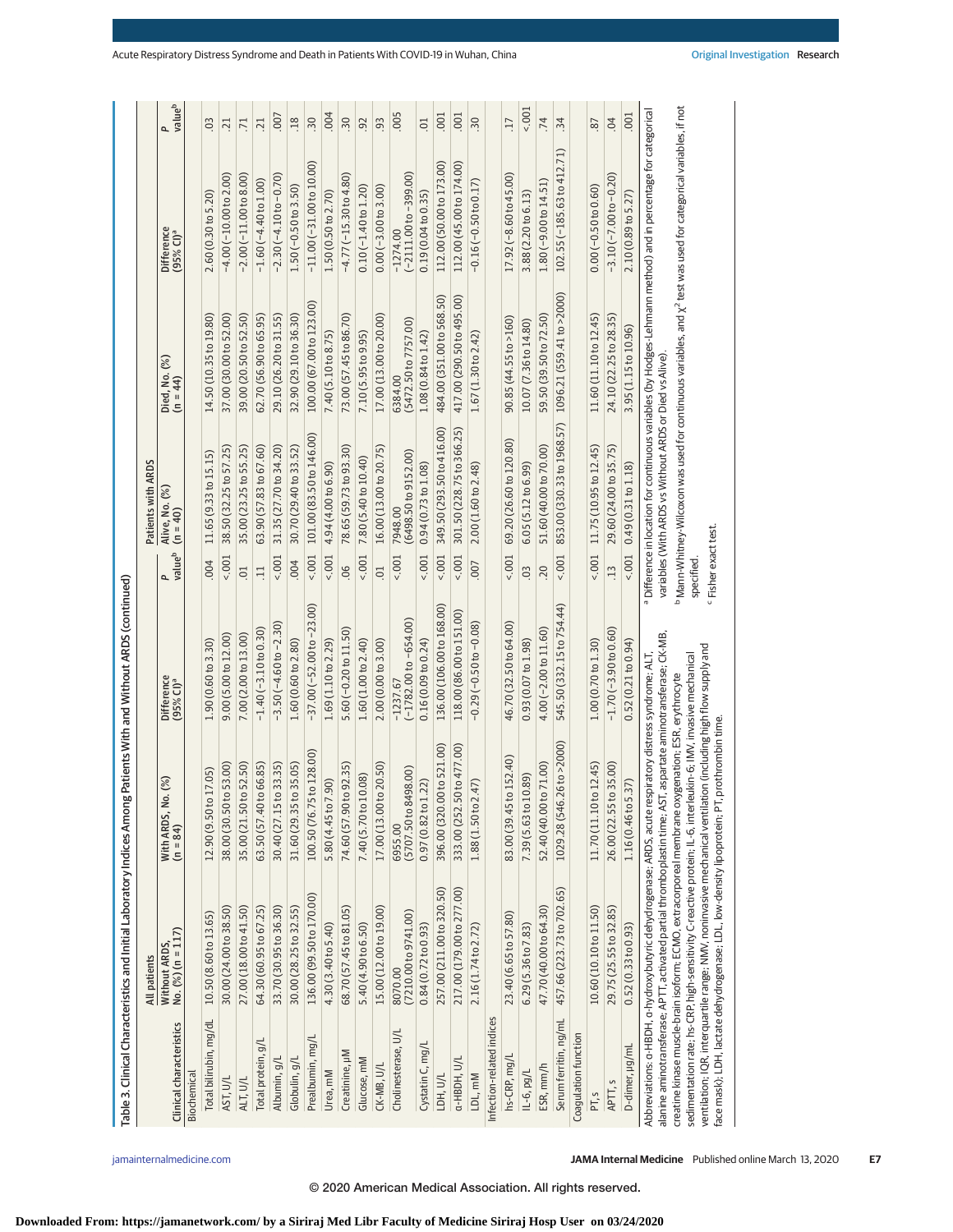| All patients                       |                                  |                                                                          |                                                                                                                                                                                                                                                                                                                                                                                                                                                                                                                                                                                          | Patients with ARDS              |                                 |                                                        |                                                                                                                                                                                                                                           |
|------------------------------------|----------------------------------|--------------------------------------------------------------------------|------------------------------------------------------------------------------------------------------------------------------------------------------------------------------------------------------------------------------------------------------------------------------------------------------------------------------------------------------------------------------------------------------------------------------------------------------------------------------------------------------------------------------------------------------------------------------------------|---------------------------------|---------------------------------|--------------------------------------------------------|-------------------------------------------------------------------------------------------------------------------------------------------------------------------------------------------------------------------------------------------|
| No. (%) (n = 117)<br>Without ARDS, | With ARDS, No. $(%)$<br>(n = 84) | Difference<br>(95% CI) <sup>a</sup>                                      | valueb<br>P.                                                                                                                                                                                                                                                                                                                                                                                                                                                                                                                                                                             | Alive, No. $(%)$<br>(n = 40)    | Died, No. $(%)$<br>(n = 44)     | Difference<br>(95% CI) <sup>a</sup>                    | valueb<br>d.                                                                                                                                                                                                                              |
| 10.50 (8.60 to 13.65)              | 12.90 (9.50 to 17.05)            | 1.90(0.60 to 3.30)                                                       | 004                                                                                                                                                                                                                                                                                                                                                                                                                                                                                                                                                                                      | 11.65 (9.33 to 15.15)           | 14.50 (10.35 to 19.80)          | 2.60 (0.30 to 5.20)                                    | $\overline{0}$                                                                                                                                                                                                                            |
| 30.00 (24.00 to 38.50)             | to 53.00)<br>38.00 (30.50        | 9.00 (5.00 to 12.00)                                                     | 5001                                                                                                                                                                                                                                                                                                                                                                                                                                                                                                                                                                                     | 38.50 (32.25 to 57.25)          | 37.00 (30.00 to 52.00)          | $-4.00$ ( $-10.00$ to 2.00)                            | 21                                                                                                                                                                                                                                        |
| 27.00 (18.00 to 41.50)             | to 52.50)<br>35.00 (21.50        | 7.00 (2.00 to 13.00)                                                     | $\overline{0}$                                                                                                                                                                                                                                                                                                                                                                                                                                                                                                                                                                           | 35.00 (23.25 to 55.25)          | 39.00 (20.50 to 52.50)          | $-2.00(-11.00 to 8.00)$                                | .71                                                                                                                                                                                                                                       |
| 64.30 (60.95 to 67.25)             | to 66.85)<br>63.50 (57.40        | $-1.40(-3.10 to 0.30)$                                                   | $\Xi$                                                                                                                                                                                                                                                                                                                                                                                                                                                                                                                                                                                    | 63.90 (57.83 to 67.60)          | 62.70 (56.90 to 65.95)          | $-1.60(-4.40 to 1.00)$                                 | $\overline{c}$                                                                                                                                                                                                                            |
| 33.70 (30.95 to 36.30)             | 30.40 (27.15 to 33.35)           | $-3.50(-4.60 to -2.30)$                                                  | $5001 -$                                                                                                                                                                                                                                                                                                                                                                                                                                                                                                                                                                                 | 31.35 (27.70 to 34.20)          | 29.10 (26.20to 31.55)           | $-2.30(-4.10 \text{ to } -0.70)$                       | 007                                                                                                                                                                                                                                       |
| 30.00 (28.25 to 32.55)             | to 35.05)<br>31.60 (29.35        | 1.60 (0.60 to 2.80)                                                      | 004                                                                                                                                                                                                                                                                                                                                                                                                                                                                                                                                                                                      | 30.70 (29.40 to 33.52)          | 32.90 (29.10 to 36.30)          | $1.50(-0.50 to 3.50)$                                  | .18                                                                                                                                                                                                                                       |
| 136.00 (99.50 to 170.00)           | 5 to 128.00)<br>100.50 (76.7     | $-37.00(-52.00 to -23.00)$                                               | 5001                                                                                                                                                                                                                                                                                                                                                                                                                                                                                                                                                                                     | 101.00 (83.50 to 146.00)        | 100.00 (67.00 to 123.00)        | $-11.00$ ( $-31.00$ to $10.00$ )                       | $\overline{.}30$                                                                                                                                                                                                                          |
| 4.30 (3.40 to 5.40)                | 5.80 (4.45 to 7.90)              | 1.69 (1.10 to 2.29)                                                      | $5001 -$                                                                                                                                                                                                                                                                                                                                                                                                                                                                                                                                                                                 | 4.94 (4.00 to 6.90)             | 7.40 (5.10 to 8.75)             | 1.50 (0.50 to 2.70)                                    | .004                                                                                                                                                                                                                                      |
| 68.70 (57.45 to 81.05)             | 74.60 (57.90 to 92.35)           | $5.60(-0.20 to 11.50)$                                                   | 06                                                                                                                                                                                                                                                                                                                                                                                                                                                                                                                                                                                       | 78.65 (59.73 to 93.30)          | 73.00 (57.45 to 86.70)          | $-4.77(-15.30 to 4.80)$                                | $\ddot{.}0$                                                                                                                                                                                                                               |
| 5.40 (4.90 to 6.50)                | 7.40 (5.70 to 10.08)             | 1.60 (1.00 to 2.40)                                                      | 5001                                                                                                                                                                                                                                                                                                                                                                                                                                                                                                                                                                                     | 7.80 (5.40 to 10.40)            | 7.10 (5.95 to 9.95)             | $0.10(-1.40 to 1.20)$                                  | 92                                                                                                                                                                                                                                        |
| 15.00 (12.00 to 19.00)             | to 20.50)<br>17.00 (13.00        | 2.00(0.00 to 3.00)                                                       | $\overline{C}$                                                                                                                                                                                                                                                                                                                                                                                                                                                                                                                                                                           | 16.00 (13.00 to 20.75)          | 17.00 (13.00 to 20.00)          | $0.00(-3.00 to 3.00)$                                  | 93                                                                                                                                                                                                                                        |
| (7210.00 to 9741.00)<br>8070.00    | 6955.00<br>(5707.50 to 8498.00)  | $(-1782.00 to -654.00)$<br>$-1237.67$                                    | $5001 -$                                                                                                                                                                                                                                                                                                                                                                                                                                                                                                                                                                                 | (6498.50 to 9152.00)<br>7948.00 | (5472.50 to 7757.00)<br>6384.00 | $(-2111.00 to -399.00)$<br>$-1274.00$                  | .005                                                                                                                                                                                                                                      |
| 0.84(0.72 to 0.93)                 | 0.97 (0.82 to 1.22)              | 0.16(0.09 to 0.24)                                                       | $5001 -$                                                                                                                                                                                                                                                                                                                                                                                                                                                                                                                                                                                 | $0.94(0.73 \text{ to } 1.08)$   | 1.08 (0.84 to 1.42)             | 0.19(0.04 to 0.35)                                     | $\overline{C}$                                                                                                                                                                                                                            |
| 257.00 (211.00 to 320.50)          | 396.00 (320.00 to 521.00)        | 136.00 (106.00 to 168.00)                                                | $5001 -$                                                                                                                                                                                                                                                                                                                                                                                                                                                                                                                                                                                 | 349.50 (293.50 to 416.00)       | 484.00 (351.00 to 568.50)       | 112.00 (50.00 to 173.00)                               | .001                                                                                                                                                                                                                                      |
| 217.00 (179.00 to 277.00)          | 50 to 477.00)<br>333.00 (252.    | 118.00 (86.00 to 151.00)                                                 | $5001 -$                                                                                                                                                                                                                                                                                                                                                                                                                                                                                                                                                                                 | 301.50 (228.75 to 366.25)       | 417.00 (290.50 to 495.00)       | 112.00 (45.00 to 174.00)                               | .001                                                                                                                                                                                                                                      |
| 2.16 (1.74 to 2.72)                | 2.47)<br>1.88 (1.50 to           | $-0.29(-0.50 to -0.08)$                                                  | 007                                                                                                                                                                                                                                                                                                                                                                                                                                                                                                                                                                                      | 2.00 (1.60 to 2.48)             | 1.67 (1.30 to 2.42)             | $-0.16(-0.50 to 0.17)$                                 | 30                                                                                                                                                                                                                                        |
|                                    |                                  |                                                                          |                                                                                                                                                                                                                                                                                                                                                                                                                                                                                                                                                                                          |                                 |                                 |                                                        |                                                                                                                                                                                                                                           |
| 23.40 (6.65 to 57.80)              | to 152.40)<br>83.00 (39.45       | 46.70 (32.50 to 64.00)                                                   | $5001 -$                                                                                                                                                                                                                                                                                                                                                                                                                                                                                                                                                                                 | 69.20 (26.60 to 120.80)         | 90.85(44.55 to > 160)           | $17.92$ ( $-8.60$ to $45.00$ )                         | $\overline{17}$                                                                                                                                                                                                                           |
| 6.29 (5.36 to 7.83)                | 7.39 (5.63 to 10.89)             | 0.93(0.07 to 1.98)                                                       | $\overline{0}$                                                                                                                                                                                                                                                                                                                                                                                                                                                                                                                                                                           | 6.05 (5.12 to 6.99)             | 10.07 (7.36 to 14.80)           | 3.88 (2.20 to 6.13)                                    | 5001                                                                                                                                                                                                                                      |
| 47.70 (40.00 to 64.30)             | to 71.00)<br>52.40 (40.00        | $4.00(-2.00 to 11.60)$                                                   | 20                                                                                                                                                                                                                                                                                                                                                                                                                                                                                                                                                                                       | 51.60 (40.00 to 70.00)          | 59.50 (39.50 to 72.50)          | $1.80(-9.00 to 14.51)$                                 | $\overline{74}$                                                                                                                                                                                                                           |
| 457.66 (223.73 to 702.65)          | 1029.28 (546.26 to > 2000)       | 545.50 (332.15 to 754.44)                                                | $5001 -$                                                                                                                                                                                                                                                                                                                                                                                                                                                                                                                                                                                 | 853.00 (330.33 to 1968.57)      | 1096.21 (559.41 to >2000)       | 102.55 (-185.63 to 412.71)                             | 34                                                                                                                                                                                                                                        |
|                                    |                                  |                                                                          |                                                                                                                                                                                                                                                                                                                                                                                                                                                                                                                                                                                          |                                 |                                 |                                                        |                                                                                                                                                                                                                                           |
| 10.60 (10.10 to 11.50)             | to 12.45)<br>11.70 (11.10        | 1.00 (0.70 to 1.30)                                                      | 1001                                                                                                                                                                                                                                                                                                                                                                                                                                                                                                                                                                                     | 11.75 (10.95 to 12.45)          | 11.60 (11.10 to 12.45)          | $0.00 (-0.50 to 0.60)$                                 | 87                                                                                                                                                                                                                                        |
| 29.75 (25.55 to 32.85)             | to 35.00)<br>26.00 (22.55        | $-1.70(-3.90 to 0.60)$                                                   | .13                                                                                                                                                                                                                                                                                                                                                                                                                                                                                                                                                                                      | 29.60 (24.00 to 35.75)          | 24.10 (22.25 to 28.35)          | $-3.10(-7.00 to -0.20)$                                | 04                                                                                                                                                                                                                                        |
| 0.52(0.33 to 0.93)                 | 1.16 (0.46 to 5.37)              | 0.52(0.21 to 0.94)                                                       | $5001 -$                                                                                                                                                                                                                                                                                                                                                                                                                                                                                                                                                                                 | 0.49(0.31 to 1.18)              | 3.95 (1.15 to 10.96)            | 2.10 (0.89 to 5.27)                                    | .001                                                                                                                                                                                                                                      |
|                                    |                                  |                                                                          |                                                                                                                                                                                                                                                                                                                                                                                                                                                                                                                                                                                          |                                 |                                 |                                                        |                                                                                                                                                                                                                                           |
|                                    |                                  | face mask); LDH, lactate dehydrogenase; LDL, low-density lipoprotein; PT | alanine aminotransferase; APTT, activated partial thromboplastin time; AST, aspartate aminotransferase; CK-MB.<br>ventilation; IQR, interquartile range; NMV, noninvasive mechanical ventilation (including high flow supply and<br>Abbreviations: α-HBDH, α-hydroxybutyric dehydrogenase; ARDS, acute respiratory distress syndrome; ALT,<br>sedimentation rate; hs-CRP, high-sensitivity C-reactive protein; IL-6, interleukin-6; IMV, invasive mechanical<br>creatine kinase muscle-brain isoform; ECMO, extracorporeal membrane oxygenation; ESR, erythrocyte<br>, prothrombin time. | specified.                      | <sup>c</sup> Fisher exact test. | variables (With ARDS vs Without ARDS or Died vs Alive) | b Mann-Whitney-Wilcoxon was used for continuous variables, and $\chi^2$ test was used for categorical variables, if not<br>a Difference in location for continuous variables (by Hodges-Lehmann method) and in percentage for categorical |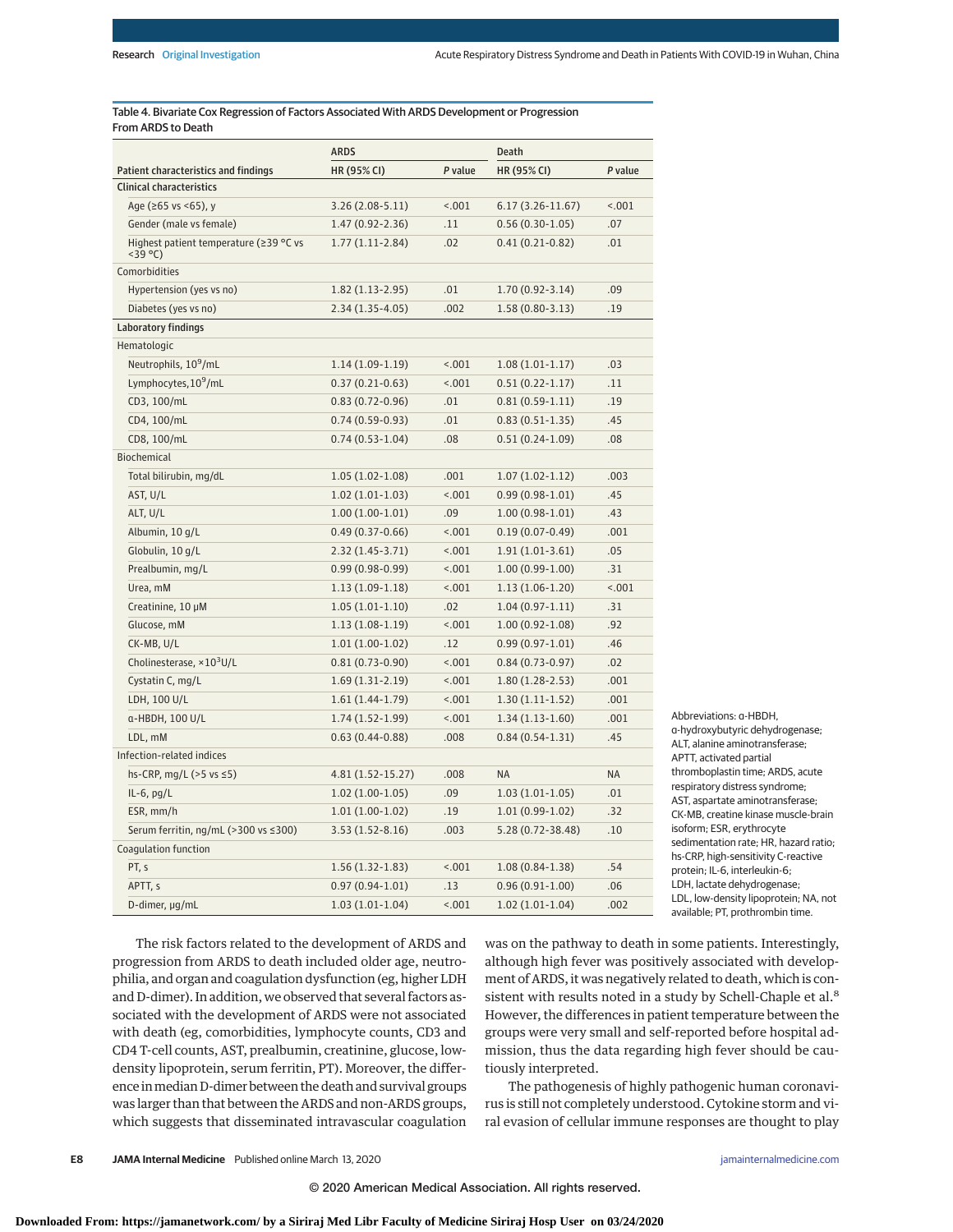Table 4. Bivariate Cox Regression of Factors Associated With ARDS Development or Progression From ARDS to Death

|                                                             | <b>ARDS</b>          |         | <b>Death</b>        |           |
|-------------------------------------------------------------|----------------------|---------|---------------------|-----------|
| Patient characteristics and findings                        | HR (95% CI)          | P value | HR (95% CI)         | P value   |
| <b>Clinical characteristics</b>                             |                      |         |                     |           |
| Age (≥65 vs <65), y                                         | $3.26(2.08-5.11)$    | < .001  | $6.17(3.26-11.67)$  | < .001    |
| Gender (male vs female)                                     | $1.47(0.92 - 2.36)$  | .11     | $0.56(0.30-1.05)$   | .07       |
| Highest patient temperature (≥39 °C vs<br><39 $^{\circ}$ C) | $1.77(1.11-2.84)$    | .02     | $0.41(0.21-0.82)$   | .01       |
| Comorbidities                                               |                      |         |                     |           |
| Hypertension (yes vs no)                                    | $1.82(1.13-2.95)$    | .01     | $1.70(0.92 - 3.14)$ | .09       |
| Diabetes (yes vs no)                                        | $2.34(1.35-4.05)$    | .002    | $1.58(0.80-3.13)$   | .19       |
| <b>Laboratory findings</b>                                  |                      |         |                     |           |
| Hematologic                                                 |                      |         |                     |           |
| Neutrophils, 10 <sup>9</sup> /mL                            | $1.14(1.09-1.19)$    | < .001  | $1.08(1.01-1.17)$   | .03       |
| Lymphocytes, 10 <sup>9</sup> /mL                            | $0.37(0.21-0.63)$    | < .001  | $0.51(0.22 - 1.17)$ | .11       |
| CD3, 100/mL                                                 | $0.83(0.72-0.96)$    | .01     | $0.81(0.59-1.11)$   | .19       |
| CD4, 100/mL                                                 | $0.74(0.59-0.93)$    | .01     | $0.83(0.51-1.35)$   | .45       |
| CD8, 100/mL                                                 | $0.74(0.53-1.04)$    | .08     | $0.51(0.24-1.09)$   | .08       |
| Biochemical                                                 |                      |         |                     |           |
| Total bilirubin, mg/dL                                      | $1.05(1.02-1.08)$    | .001    | $1.07(1.02-1.12)$   | .003      |
| AST, U/L                                                    | $1.02(1.01-1.03)$    | 1001    | $0.99(0.98-1.01)$   | .45       |
| ALT, U/L                                                    | $1.00(1.00-1.01)$    | .09     | $1.00(0.98-1.01)$   | .43       |
| Albumin, 10 g/L                                             | $0.49(0.37-0.66)$    | < .001  | $0.19(0.07-0.49)$   | .001      |
| Globulin, 10 g/L                                            | $2.32(1.45-3.71)$    | < .001  | $1.91(1.01-3.61)$   | .05       |
| Prealbumin, mg/L                                            | $0.99(0.98-0.99)$    | < .001  | $1.00(0.99-1.00)$   | .31       |
| Urea, mM                                                    | $1.13(1.09-1.18)$    | < .001  | $1.13(1.06-1.20)$   | < .001    |
| Creatinine, 10 µM                                           | $1.05(1.01-1.10)$    | .02     | $1.04(0.97-1.11)$   | .31       |
| Glucose, mM                                                 | $1.13(1.08-1.19)$    | < .001  | $1.00(0.92 - 1.08)$ | .92       |
| CK-MB, U/L                                                  | $1.01(1.00-1.02)$    | .12     | $0.99(0.97-1.01)$   | .46       |
| Cholinesterase, ×10 <sup>3</sup> U/L                        | $0.81(0.73-0.90)$    | < .001  | $0.84(0.73-0.97)$   | .02       |
| Cystatin C, mg/L                                            | $1.69(1.31-2.19)$    | < .001  | $1.80(1.28-2.53)$   | .001      |
| LDH, 100 U/L                                                | $1.61(1.44-1.79)$    | < .001  | $1.30(1.11-1.52)$   | .001      |
| a-HBDH, 100 U/L                                             | $1.74(1.52-1.99)$    | 1001    | $1.34(1.13-1.60)$   | .001      |
| LDL, mM                                                     | $0.63(0.44 - 0.88)$  | .008    | $0.84(0.54-1.31)$   | .45       |
| Infection-related indices                                   |                      |         |                     |           |
| hs-CRP, mg/L ( $>5$ vs $\leq 5$ )                           | $4.81(1.52 - 15.27)$ | .008    | <b>NA</b>           | <b>NA</b> |
| IL-6, $pg/L$                                                | $1.02(1.00-1.05)$    | .09     | $1.03(1.01-1.05)$   | .01       |
| ESR, mm/h                                                   | $1.01(1.00-1.02)$    | .19     | $1.01(0.99-1.02)$   | .32       |
| Serum ferritin, ng/mL (>300 vs ≤300)                        | $3.53(1.52-8.16)$    | .003    | 5.28 (0.72-38.48)   | .10       |
| Coagulation function                                        |                      |         |                     |           |
| PT, s                                                       | $1.56(1.32-1.83)$    | < .001  | $1.08(0.84-1.38)$   | .54       |
| APTT, s                                                     | $0.97(0.94-1.01)$    | .13     | $0.96(0.91-1.00)$   | .06       |
| D-dimer, µg/mL                                              | $1.03(1.01-1.04)$    | < .001  | $1.02(1.01-1.04)$   | .002      |

Abbreviations: α-HBDH, α-hydroxybutyric dehydrogenase; ALT, alanine aminotransferase; APTT, activated partial thromboplastin time; ARDS, acute respiratory distress syndrome; AST, aspartate aminotransferase; CK-MB, creatine kinase muscle-brain isoform; ESR, erythrocyte sedimentation rate; HR, hazard ratio; hs-CRP, high-sensitivity C-reactive protein; IL-6, interleukin-6; LDH, lactate dehydrogenase; LDL, low-density lipoprotein; NA, not available; PT, prothrombin time.

The risk factors related to the development of ARDS and progression from ARDS to death included older age, neutrophilia, and organ and coagulation dysfunction (eg, higher LDH and D-dimer). In addition, we observed that several factors associated with the development of ARDS were not associated with death (eg, comorbidities, lymphocyte counts, CD3 and CD4 T-cell counts, AST, prealbumin, creatinine, glucose, lowdensity lipoprotein, serum ferritin, PT). Moreover, the difference inmedian D-dimer between the death and survival groups was larger than that between the ARDS and non-ARDS groups, which suggests that disseminated intravascular coagulation was on the pathway to death in some patients. Interestingly, although high fever was positively associated with development of ARDS, it was negatively related to death, which is consistent with results noted in a study by Schell-Chaple et al. $8$ However, the differences in patient temperature between the groups were very small and self-reported before hospital admission, thus the data regarding high fever should be cautiously interpreted.

The pathogenesis of highly pathogenic human coronavirus is still not completely understood. Cytokine storm and viral evasion of cellular immune responses are thought to play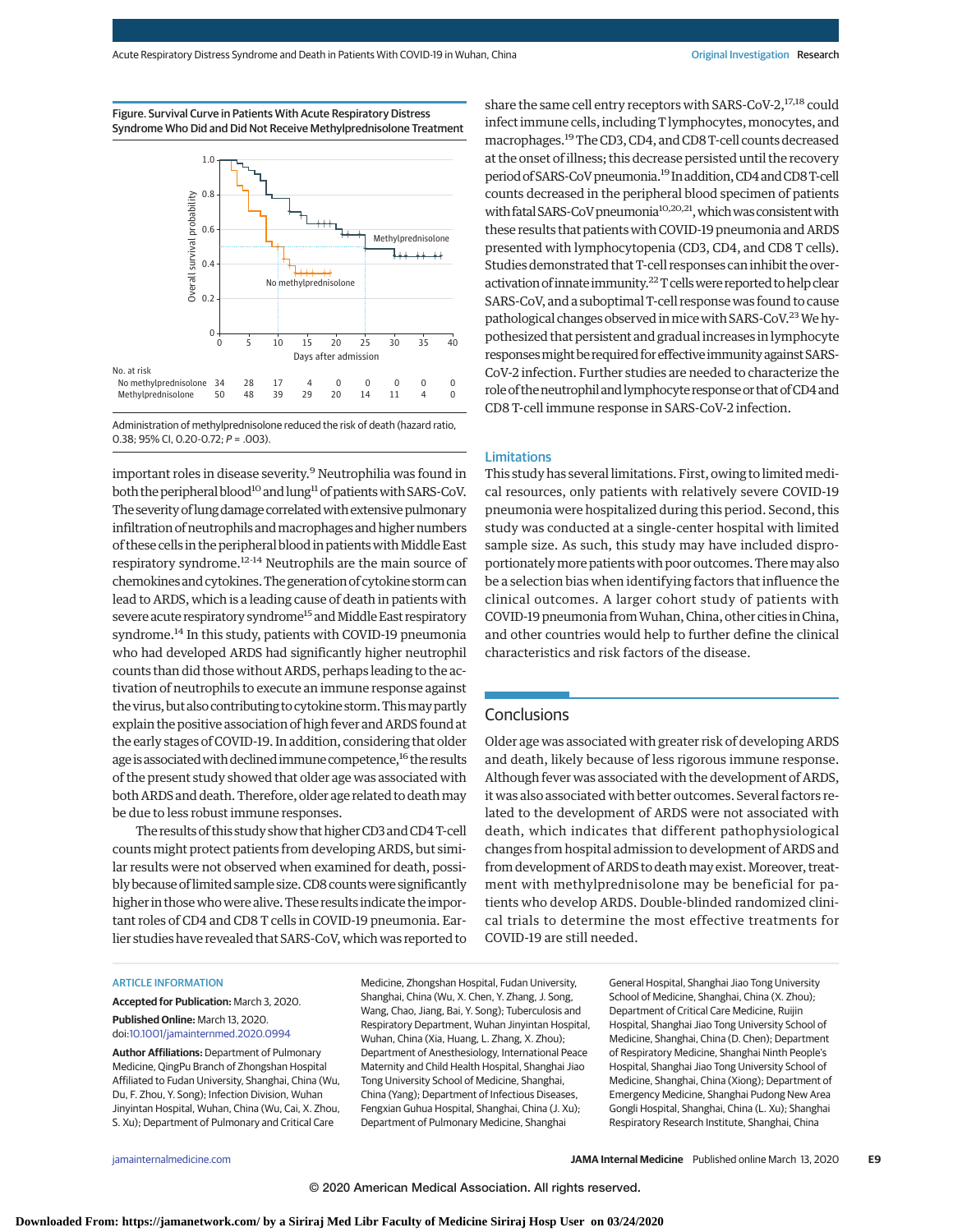Figure. Survival Curve in Patients With Acute Respiratory Distress Syndrome Who Did and Did Not Receive Methylprednisolone Treatment



Administration of methylprednisolone reduced the risk of death (hazard ratio, 0.38; 95% CI, 0.20-0.72; P = .003).

important roles in disease severity.<sup>9</sup> Neutrophilia was found in both the peripheral blood<sup>10</sup> and lung<sup>11</sup> of patients with SARS-CoV. The severity of lung damage correlated with extensive pulmonary infiltration of neutrophils and macrophages and higher numbers of these cells in the peripheral blood in patients with Middle East respiratory syndrome.12-14 Neutrophils are the main source of chemokines and cytokines. The generation of cytokine storm can lead to ARDS, which is a leading cause of death in patients with severe acute respiratory syndrome<sup>15</sup> and Middle East respiratory syndrome.<sup>14</sup> In this study, patients with COVID-19 pneumonia who had developed ARDS had significantly higher neutrophil counts than did those without ARDS, perhaps leading to the activation of neutrophils to execute an immune response against the virus, but also contributing to cytokine storm. This may partly explain the positive association of high fever and ARDS found at the early stages of COVID-19. In addition, considering that older age is associated with declined immune competence,<sup>16</sup> the results of the present study showed that older age was associated with both ARDS and death. Therefore, older age related to deathmay be due to less robust immune responses.

The results of this study show that higher CD3 and CD4 T-cell counts might protect patients from developing ARDS, but similar results were not observed when examined for death, possibly because of limited sample size. CD8 counts were significantly higher in thosewhowere alive. These results indicate the important roles of CD4 and CD8 T cells in COVID-19 pneumonia. Earlier studies have revealed that SARS-CoV, which was reported to

#### ARTICLE INFORMATION

**Accepted for Publication:** March 3, 2020. **Published Online:** March 13, 2020. doi[:10.1001/jamainternmed.2020.0994](https://jamanetwork.com/journals/jama/fullarticle/10.1001/jamainternmed.2020.0994?utm_campaign=articlePDF%26utm_medium=articlePDFlink%26utm_source=articlePDF%26utm_content=jamainternmed.2020.0994)

**Author Affiliations:** Department of Pulmonary Medicine, QingPu Branch of Zhongshan Hospital Affiliated to Fudan University, Shanghai, China (Wu, Du, F. Zhou, Y. Song); Infection Division, Wuhan Jinyintan Hospital, Wuhan, China (Wu, Cai, X. Zhou, S. Xu); Department of Pulmonary and Critical Care

Medicine, Zhongshan Hospital, Fudan University, Shanghai, China (Wu, X. Chen, Y. Zhang, J. Song, Wang, Chao, Jiang, Bai, Y. Song); Tuberculosis and Respiratory Department, Wuhan Jinyintan Hospital, Wuhan, China (Xia, Huang, L. Zhang, X. Zhou); Department of Anesthesiology, International Peace Maternity and Child Health Hospital, Shanghai Jiao Tong University School of Medicine, Shanghai, China (Yang); Department of Infectious Diseases, Fengxian Guhua Hospital, Shanghai, China (J. Xu); Department of Pulmonary Medicine, Shanghai

share the same cell entry receptors with SARS-CoV-2,<sup>17,18</sup> could infect immune cells, including T lymphocytes, monocytes, and macrophages.<sup>19</sup> The CD3, CD4, and CD8 T-cell counts decreased at the onset of illness; this decrease persisted until the recovery period of SARS-CoV pneumonia.<sup>19</sup> In addition, CD4 and CD8 T-cell counts decreased in the peripheral blood specimen of patients with fatal SARS-CoV pneumonia<sup>10,20,21</sup>, which was consistent with these results that patients with COVID-19 pneumonia and ARDS presented with lymphocytopenia (CD3, CD4, and CD8 T cells). Studies demonstrated that T-cell responses can inhibit the overactivation of innate immunity.<sup>22</sup>T cells were reported to help clear SARS-CoV, and a suboptimal T-cell response was found to cause pathological changes observed in mice with SARS-CoV.<sup>23</sup> We hypothesized that persistent and gradual increases in lymphocyte responses might be required for effective immunity against SARS-CoV-2 infection. Further studies are needed to characterize the role of the neutrophil and lymphocyte response or that of CD4 and CD8 T-cell immune response in SARS-CoV-2 infection.

#### Limitations

This study has several limitations. First, owing to limited medical resources, only patients with relatively severe COVID-19 pneumonia were hospitalized during this period. Second, this study was conducted at a single-center hospital with limited sample size. As such, this study may have included disproportionately more patients with poor outcomes. There may also be a selection bias when identifying factors that influence the clinical outcomes. A larger cohort study of patients with COVID-19 pneumonia fromWuhan, China, other cities in China, and other countries would help to further define the clinical characteristics and risk factors of the disease.

#### **Conclusions**

Older age was associated with greater risk of developing ARDS and death, likely because of less rigorous immune response. Although fever was associated with the development of ARDS, it was also associated with better outcomes. Several factors related to the development of ARDS were not associated with death, which indicates that different pathophysiological changes from hospital admission to development of ARDS and from development of ARDS to death may exist. Moreover, treatment with methylprednisolone may be beneficial for patients who develop ARDS. Double-blinded randomized clinical trials to determine the most effective treatments for COVID-19 are still needed.

> General Hospital, Shanghai Jiao Tong University School of Medicine, Shanghai, China (X. Zhou); Department of Critical Care Medicine, Ruijin Hospital, Shanghai Jiao Tong University School of Medicine, Shanghai, China (D. Chen); Department of Respiratory Medicine, Shanghai Ninth People's Hospital, Shanghai Jiao Tong University School of Medicine, Shanghai, China (Xiong); Department of Emergency Medicine, Shanghai Pudong New Area Gongli Hospital, Shanghai, China (L. Xu); Shanghai Respiratory Research Institute, Shanghai, China